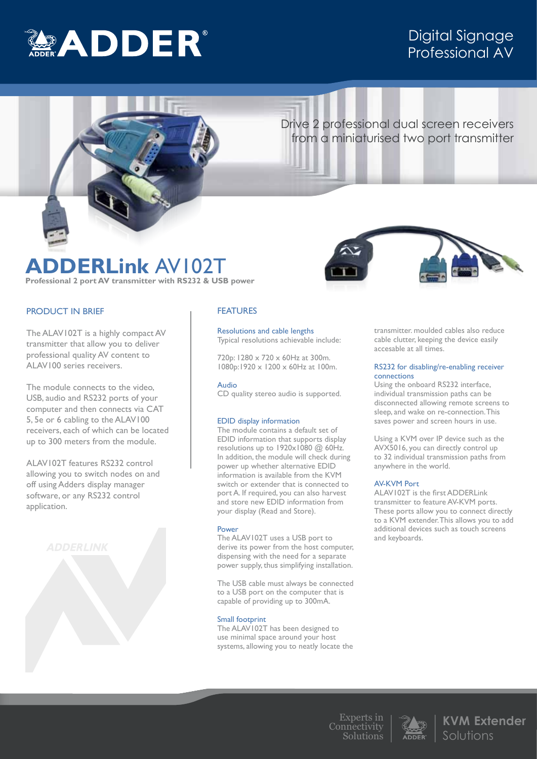

# Digital Signage Professional AV

# Drive 2 professional dual screen receivers from a miniaturised two port transmitter

# **ADDERLink** AV102T **Professional 2 port AV transmitter with RS232 & USB power**

# PRODUCT IN BRIEF

The ALAV102T is a highly compact AV transmitter that allow you to deliver professional quality AV content to ALAV100 series receivers.

The module connects to the video, USB, audio and RS232 ports of your computer and then connects via CAT 5, 5e or 6 cabling to the ALAV100 receivers, each of which can be located up to 300 meters from the module.

ALAV102T features RS232 control allowing you to switch nodes on and off using Adders display manager software, or any RS232 control application.



# FEATURES

Resolutions and cable lengths Typical resolutions achievable include:

720p: 1280 x 720 x 60Hz at 300m. 1080p:1920 x 1200 x 60Hz at 100m.

Audio

CD quality stereo audio is supported.

## EDID display information

The module contains a default set of EDID information that supports display resolutions up to  $1920 \times 1080$  @ 60Hz. In addition, the module will check during power up whether alternative EDID information is available from the KVM switch or extender that is connected to port A. If required, you can also harvest and store new EDID information from your display (Read and Store).

### Power

The ALAV102T uses a USB port to derive its power from the host computer, dispensing with the need for a separate power supply, thus simplifying installation.

The USB cable must always be connected to a USB port on the computer that is capable of providing up to 300mA.

### Small footprint

The ALAV102T has been designed to use minimal space around your host systems, allowing you to neatly locate the



transmitter. moulded cables also reduce cable clutter, keeping the device easily accesable at all times.

### RS232 for disabling/re-enabling receiver connections

Using the onboard RS232 interface, individual transmission paths can be disconnected allowing remote screens to sleep, and wake on re-connection. This saves power and screen hours in use.

Using a KVM over IP device such as the AVX5016, you can directly control up to 32 individual transmission paths from anywhere in the world.

## AV-KVM Port

ALAV102T is the first ADDERLink transmitter to feature AV-KVM ports. These ports allow you to connect directly to a KVM extender. This allows you to add additional devices such as touch screens and keyboards.



**KVM Extender**  Solutions